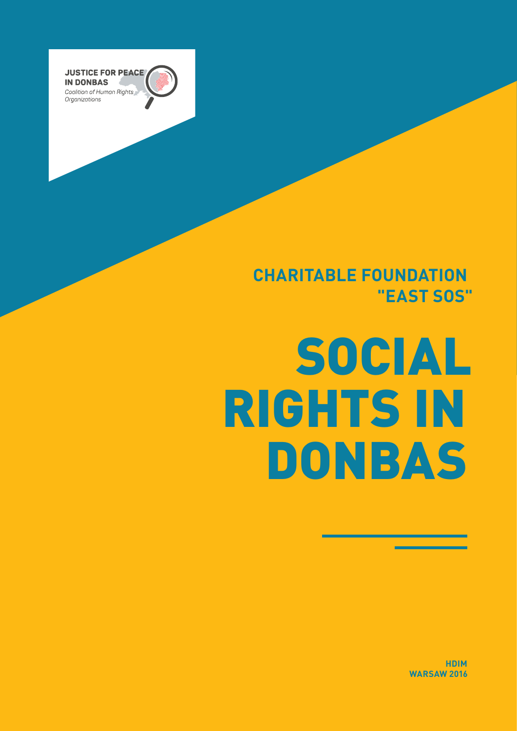

#### **CHARITABLE FOUNDATION "EAST SOS"**

# SOCIAL RIGHTS IN DONBAS

**HDIM WARSAW 2016**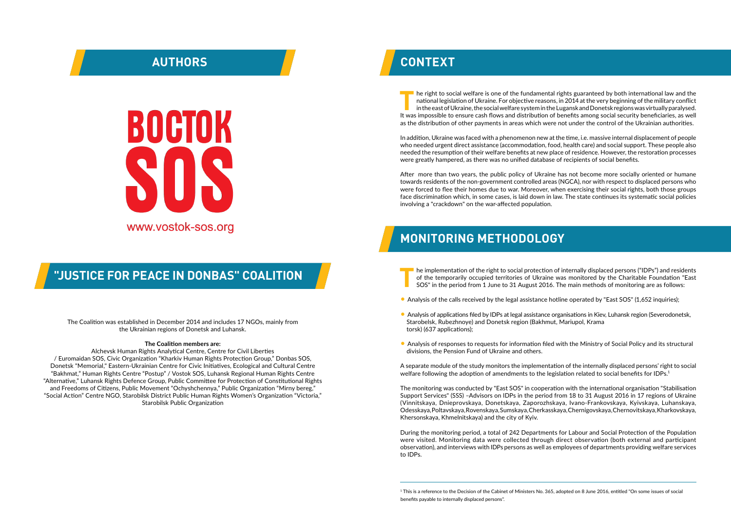# **CONTEXT**

**T**he right to social welfare is one of the fundamental rights guaranteed by both international law and the national legislation of Ukraine. For objective reasons, in 2014 at the very beginning of the military conflict in the east of Ukraine, the social welfare system in the Lugansk and Donetsk regions was virtually paralysed. It was impossible to ensure cash flows and distribution of benefits among social security beneficiaries, as well as the distribution of other payments in areas which were not under the control of the Ukrainian authorities.

In addition, Ukraine was faced with a phenomenon new at the time, i.e. massive internal displacement of people who needed urgent direct assistance (accommodation, food, health care) and social support. These people also needed the resumption of their welfare benefits at new place of residence. However, the restoration processes were greatly hampered, as there was no unified database of recipients of social benefits.

TTTTTE In the implementation of the right to social protection of internally displaced persons ("IDPs") and residents of the temporarily occupied territories of Ukraine was monitored by the Charitable Foundation "East SOS" of the temporarily occupied territories of Ukraine was monitored by the Charitable Foundation "East

- Analysis of the calls received by the legal assistance hotline operated by "East SOS" (1,652 inquiries);
- Analysis of applications filed by IDPs at legal assistance organisations in Kiev, Luhansk region (Severodonetsk, Starobelsk, Rubezhnoye) and Donetsk region (Bakhmut, Mariupol, Krama torsk) (637 applications);
- Analysis of responses to requests for information filed with the Ministry of Social Policy and its structural divisions, the Pension Fund of Ukraine and others.

After more than two years, the public policy of Ukraine has not become more socially oriented or humane towards residents of the non-government controlled areas (NGCA), nor with respect to displaced persons who were forced to flee their homes due to war. Moreover, when exercising their social rights, both those groups face discrimination which, in some cases, is laid down in law. The state continues its systematic social policies involving a "crackdown" on the war-affected population.

# **MONITORING METHODOLOGY**

A separate module of the study monitors the implementation of the internally displaced persons' right to social welfare following the adoption of amendments to the legislation related to social benefits for IDPs.1

The monitoring was conducted by "East SOS" in cooperation with the international organisation "Stabilisation Support Services" (SSS) –Advisors on IDPs in the period from 18 to 31 August 2016 in 17 regions of Ukraine (Vinnitskaya, Dnieprovskaya, Donetskaya, Zaporozhskaya, Ivano-Frankovskaya, Kyivskaya, Luhanskaya, Odesskaya, Poltavskaya, Rovenskaya, Sumskaya, Cherkasskaya, Chernigovskaya, Chernovitskaya, Kharkovskaya, Khersonskaya, Khmelnitskaya) and the city of Kyiv.

During the monitoring period, a total of 242 Departments for Labour and Social Protection of the Population were visited. Monitoring data were collected through direct observation (both external and participant observation), and interviews with IDPs persons as well as employees of departments providing welfare services to IDPs.

# **AUTHORS**



www.vostok-sos.org

### **"JUSTICE FOR PEACE IN DONBAS" COALITION**

The Coalition was established in December 2014 and includes 17 NGOs, mainly from the Ukrainian regions of Donetsk and Luhansk.

#### **The Coalition members are:**

Alchevsk Human Rights Analytical Centre, Centre for Civil Liberties / Euromaidan SOS, Civic Organization "Kharkiv Human Rights Protection Group," Donbas SOS, Donetsk "Memorial," Eastern-Ukrainian Centre for Civic Initiatives, Ecological and Cultural Centre "Bakhmat," Human Rights Centre "Postup" / Vostok SOS, Luhansk Regional Human Rights Centre "Alternative," Luhansk Rights Defence Group, Public Committee for Protection of Constitutional Rights and Freedoms of Citizens, Public Movement "Ochyshchennya," Public Organization "Mirny bereg," "Social Action" Centre NGO, Starobilsk District Public Human Rights Women's Organization "Victoria," Starobilsk Public Organization

<sup>&</sup>lt;sup>1</sup> This is a reference to the Decision of the Cabinet of Ministers No. 365, adopted on 8 June 2016, entitled "On some issues of social benefits payable to internally displaced persons".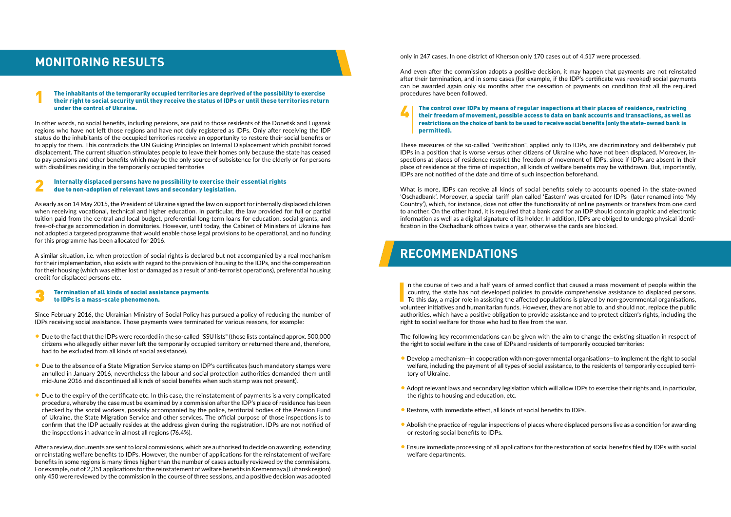### **MONITORING RESULTS**

#### The inhabitants of the temporarily occupied territories are deprived of the possibility to exercise their right to social security until they receive the status of IDPs or until these territories return under the control of Ukraine. 1

In other words, no social benefits, including pensions, are paid to those residents of the Donetsk and Lugansk regions who have not left those regions and have not duly registered as IDPs. Only after receiving the IDP status do the inhabitants of the occupied territories receive an opportunity to restore their social benefits or to apply for them. This contradicts the UN Guiding Principles on Internal Displacement which prohibit forced displacement. The current situation stimulates people to leave their homes only because the state has ceased to pay pensions and other benefits which may be the only source of subsistence for the elderly or for persons with disabilities residing in the temporarily occupied territories

# Internally displaced persons have no possibility to exercise their essential rights due to non-adoption of relevant laws and secondary legislation.

As early as on 14 May 2015, the President of Ukraine signed the law on support for internally displaced children when receiving vocational, technical and higher education. In particular, the law provided for full or partial tuition paid from the central and local budget, preferential long-term loans for education, social grants, and free-of-charge accommodation in dormitories. However, until today, the Cabinet of Ministers of Ukraine has not adopted a targeted programme that would enable those legal provisions to be operational, and no funding for this programme has been allocated for 2016.

A similar situation, i.e. when protection of social rights is declared but not accompanied by a real mechanism for their implementation, also exists with regard to the provision of housing to the IDPs, and the compensation for their housing (which was either lost or damaged as a result of anti-terrorist operations), preferential housing credit for displaced persons etc.

#### Termination of all kinds of social assistance payments<br>to IDPs is a mass-scale phenomenon.

Since February 2016, the Ukrainian Ministry of Social Policy has pursued a policy of reducing the number of IDPs receiving social assistance. Those payments were terminated for various reasons, for example:

- Due to the fact that the IDPs were recorded in the so-called "SSU lists" (those lists contained approx. 500,000 citizens who allegedly either never left the temporarily occupied territory or returned there and, therefore, had to be excluded from all kinds of social assistance).
- Due to the absence of a State Migration Service stamp on IDP's certificates (such mandatory stamps were annulled in January 2016, nevertheless the labour and social protection authorities demanded them until mid-June 2016 and discontinued all kinds of social benefits when such stamp was not present).
- Due to the expiry of the certificate etc. In this case, the reinstatement of payments is a very complicated procedure, whereby the case must be examined by a commission after the IDP's place of residence has been checked by the social workers, possibly accompanied by the police, territorial bodies of the Pension Fund of Ukraine, the State Migration Service and other services. The official purpose of those inspections is to confirm that the IDP actually resides at the address given during the registration. IDPs are not notified of the inspections in advance in almost all regions (76.4%).

II in the course of two and a half years of armed conflict that caused a mass movement of people within the country, the state has not developed policies to provide comprehensive assistance to displaced persons. To this da n the course of two and a half years of armed conflict that caused a mass movement of people within the country, the state has not developed policies to provide comprehensive assistance to displaced persons. To this day, a major role in assisting the affected populations is played by non-governmental organisations, authorities, which have a positive obligation to provide assistance and to protect citizen's rights, including the right to social welfare for those who had to flee from the war.

After a review, documents are sent to local commissions, which are authorised to decide on awarding, extending or reinstating welfare benefits to IDPs. However, the number of applications for the reinstatement of welfare benefits in some regions is many times higher than the number of cases actually reviewed by the commissions. For example, out of 2,351 applications for the reinstatement of welfare benefits in Kremennaya (Luhansk region) only 450 were reviewed by the commission in the course of three sessions, and a positive decision was adopted

only in 247 cases. In one district of Kherson only 170 cases out of 4,517 were processed.

And even after the commission adopts a positive decision, it may happen that payments are not reinstated after their termination, and in some cases (for example, if the IDP's certificate was revoked) social payments can be awarded again only six months after the cessation of payments on condition that all the required procedures have been followed.

#### The control over IDPs by means of regular inspections at their places of residence, restricting their freedom of movement, possible access to data on bank accounts and transactions, as well as restrictions on the choice of bank to be used to receive social benefits (only the state-owned bank is permitted). 4

These measures of the so-called "verification", applied only to IDPs, are discriminatory and deliberately put IDPs in a position that is worse versus other citizens of Ukraine who have not been displaced. Moreover, inspections at places of residence restrict the freedom of movement of IDPs, since if IDPs are absent in their place of residence at the time of inspection, all kinds of welfare benefits may be withdrawn. But, importantly, IDPs are not notified of the date and time of such inspection beforehand.

What is more, IDPs can receive all kinds of social benefits solely to accounts opened in the state-owned 'Oschadbank'. Moreover, a special tariff plan called 'Eastern' was created for IDPs (later renamed into 'My Country'), which, for instance, does not offer the functionality of online payments or transfers from one card to another. On the other hand, it is required that a bank card for an IDP should contain graphic and electronic information as well as a digital signature of its holder. In addition, IDPs are obliged to undergo physical identification in the Oschadbank offices twice a year, otherwise the cards are blocked.

#### **RECOMMENDATIONS**

The following key recommendations can be given with the aim to change the existing situation in respect of the right to social welfare in the case of IDPs and residents of temporarily occupied territories:

• Adopt relevant laws and secondary legislation which will allow IDPs to exercise their rights and, in particular,

- Develop a mechanism—in cooperation with non-governmental organisations—to implement the right to social welfare, including the payment of all types of social assistance, to the residents of temporarily occupied territory of Ukraine.
- the rights to housing and education, etc.
- Restore, with immediate effect, all kinds of social benefits to IDPs.
- Abolish the practice of regular inspections of places where displaced persons live as a condition for awarding or restoring social benefits to IDPs.
- Ensure immediate processing of all applications for the restoration of social benefits filed by IDPs with social welfare departments.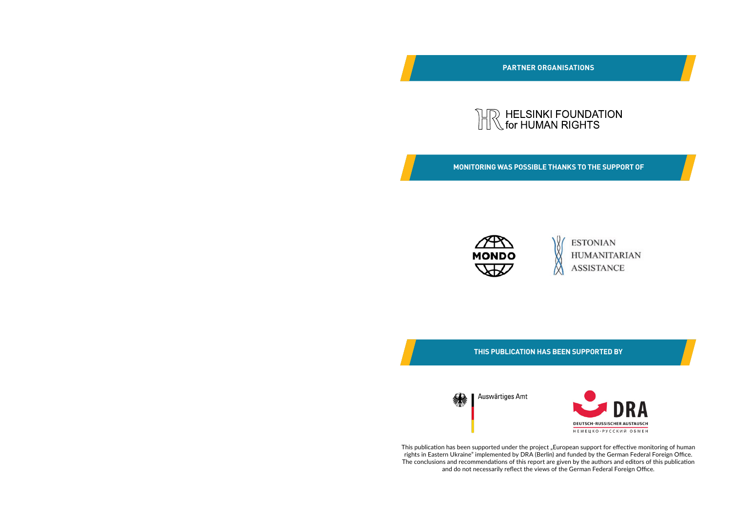**PARTNER ORGANISATIONS**



**MONITORING WAS POSSIBLE THANKS TO THE SUPPORT OF**



**THIS PUBLICATION HAS BEEN SUPPORTED BY**

Auswärtiges Amt

This publication has been supported under the project "European support for effective monitoring of human rights in Eastern Ukraine" implemented by DRA (Berlin) and funded by the German Federal Foreign Office. The conclusions and recommendations of this report are given by the authors and editors of this publication and do not necessarily reflect the views of the German Federal Foreign Office.



**ESTONIAN HUMANITARIAN** ASSISTANCE